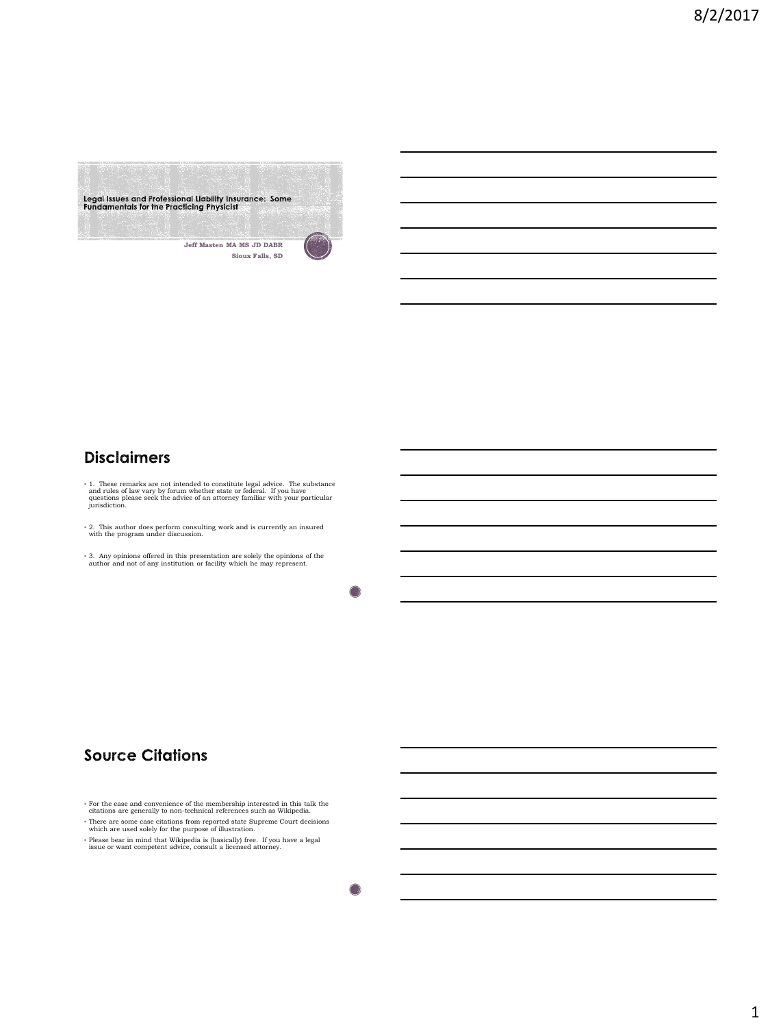

# **Disclaimers**

- $*$  1. These remarks are not intended to constitute legal advice. The substance and rules of law vary by forum whether state or federal. If you have questions please seek the advice of an attorney familiar with your parti
- 2. This author does perform consulting work and is currently an insured with the program under discussion.
- 3. Any opinions offered in this presentation are solely the opinions of the author and not of any institution or facility which he may represent.

 $\bigcirc$ 

# **Source Citations**

- For the ease and convenience of the membership interested in this talk the citations are generally to non-technical references such as Wikipedia.
- There are some case citations from reported state Supreme Court decisions which are used solely for the purpose of illustration.
- Please bear in mind that Wikipedia is (basically) free. If you have a legal issue or want competent advice, consult a licensed attorney.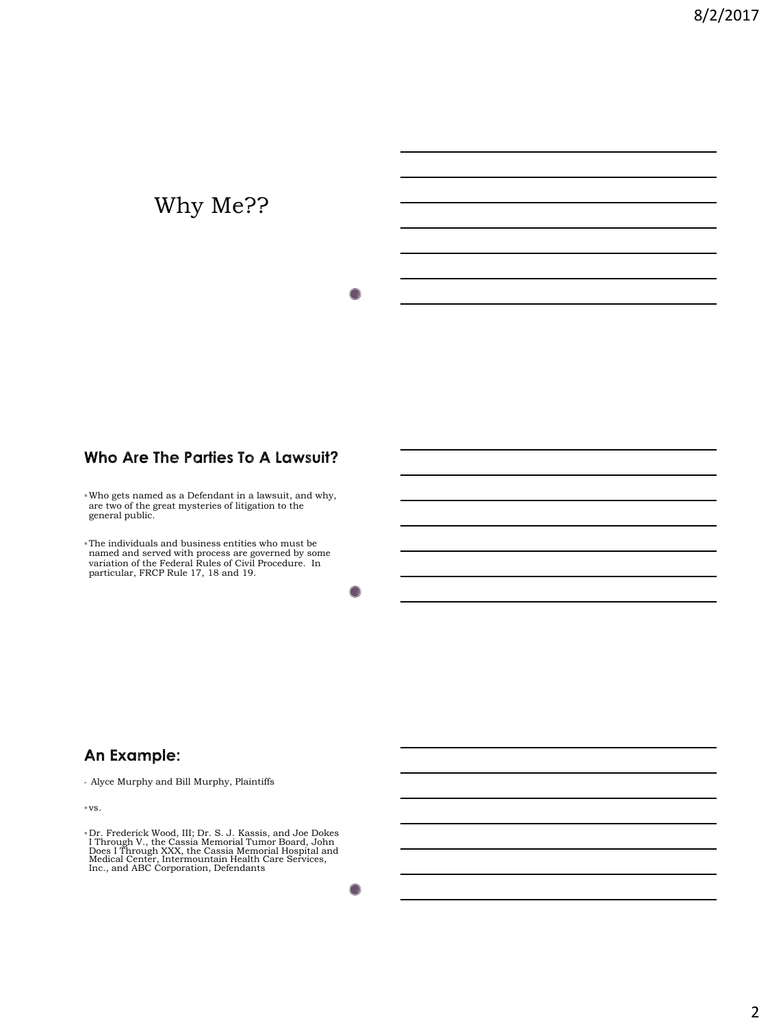# Why Me??

### Who Are The Parties To A Lawsuit?

Who gets named as a Defendant in a lawsuit, and why, are two of the great mysteries of litigation to the general public.

The individuals and business entities who must be named and served with process are governed by some variation of the Federal Rules of Civil Procedure. In particular, FRCP Rule 17, 18 and 19.

### An Example:

Alyce Murphy and Bill Murphy, Plaintiffs

vs.

<sup>\*</sup> Dr. Frederick Wood, III; Dr. S. J. Kassis, and Joe Dokes<br>I Through V., the Cassia Memorial Tumor Board, John Does I Through XXX, the Cassia Memorial Hospital and Medical Center, Intermountain Health Care Services,<br>Inc.,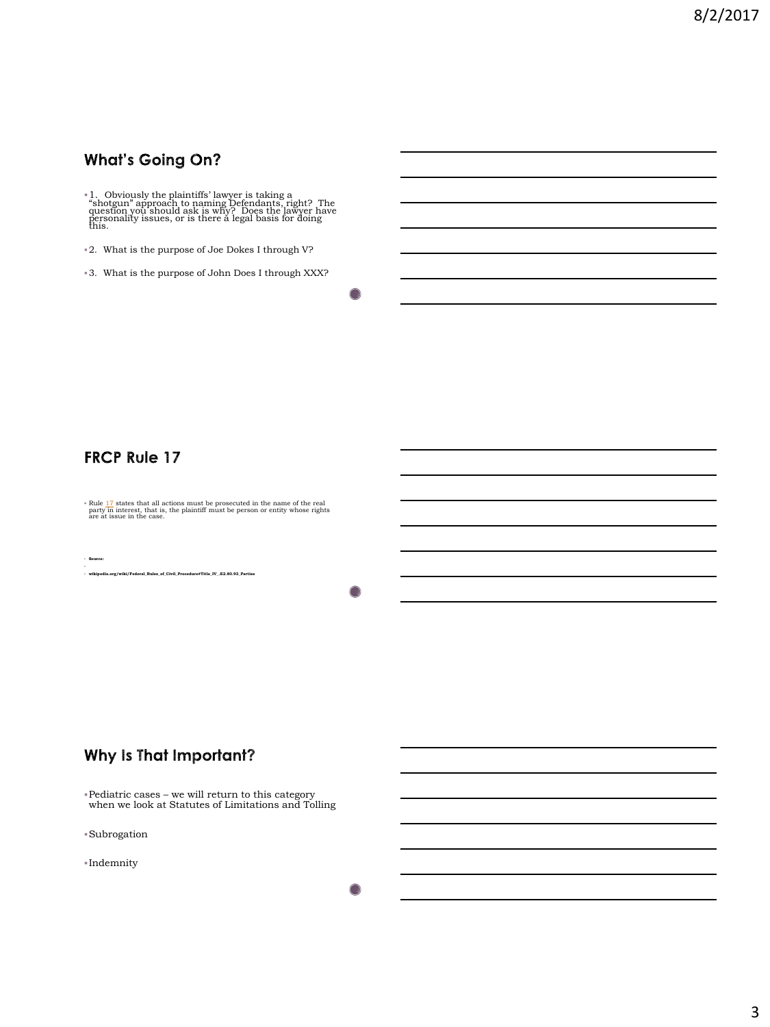# **What's Going On?**

1. Obviously the plaintiffs' lawyer is taking a "shotgun" approach to naming Defendants, right? The question you should ask is why? Does the lawyer have personality issues, or is there a legal basis for doing this.

2. What is the purpose of Joe Dokes I through V?

3. What is the purpose of John Does I through XXX?

**FRCP Rule 17** 

**Source:**

**Rule [17](https://www.federalrulesofcivilprocedure.org/rule_17)** states that all actions must be prosecuted in the name of the real party in interest, that is, the plaintiff must be person or entity whose rights are at issue in the case.

**wikipedia.org/wiki/Federal\_Rules\_of\_Civil\_Procedure#Title\_IV\_.E2.80.93\_Parties**

∩

#### Why Is That Important?

Pediatric cases – we will return to this category when we look at Statutes of Limitations and Tolling

Subrogation

Indemnity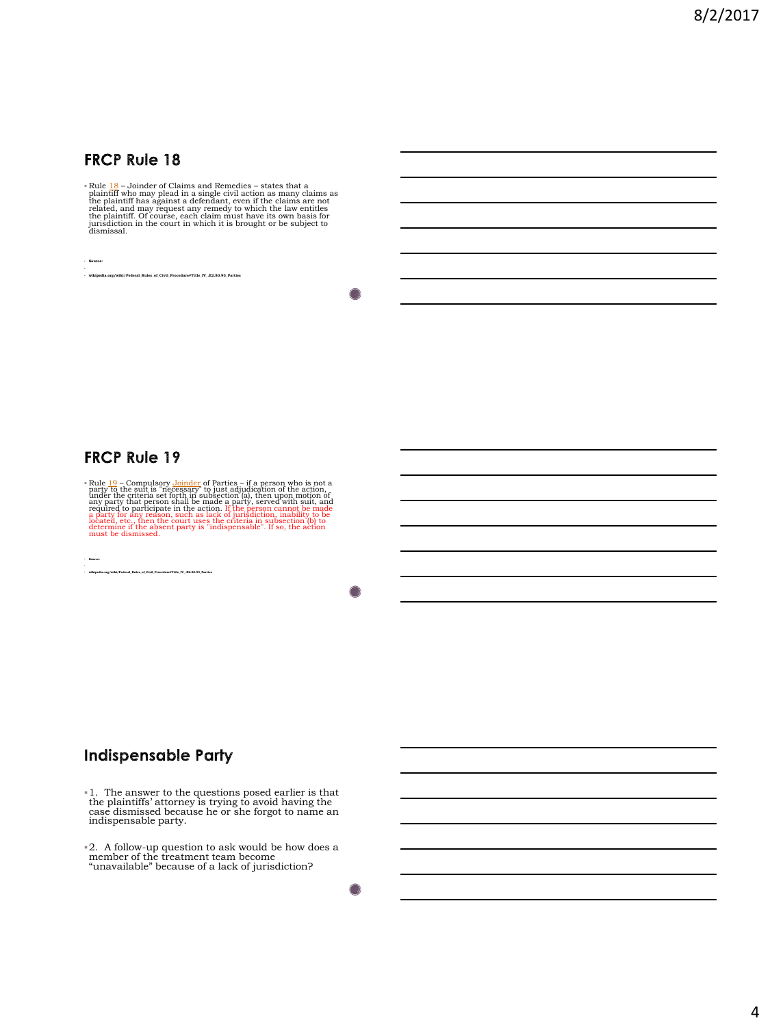#### **FRCP Rule 18**

 $\mathbbm{P}$ lule  $18$ –Joinder of Claims and Remedies – states that a plaintiff who may plead in a single civil action as many claims as the plaintiff has against a defendant, even if the claims are not related, and may reque

 **Source: wikipedia.org/wiki/Federal\_Rules\_of\_Civil\_Procedure#Title\_IV\_.E2.80.93\_Parties**

#### **FRCP Rule 19**

FRILe  $19$  – Compulsory [Joinder](https://en.wikipedia.org/wiki/Joinder) of Partics – if a person who is not a party to the suit is "necessary" to just adjudication of the action, a any party that person shall be made a party, served with suit, and required to p

**wikipedia.org/wiki/Federal\_Rules\_of\_Civil\_Procedure#Title\_IV\_.E2.80.93\_Parties**

**Source:**

#### ◠

#### **Indispensable Party**

- 1. The answer to the questions posed earlier is that the plaintiffs' attorney is trying to avoid having the case dismissed because he or she forgot to name an indispensable party.
- 2. A follow-up question to ask would be how does a member of the treatment team become "unavailable" because of a lack of jurisdiction?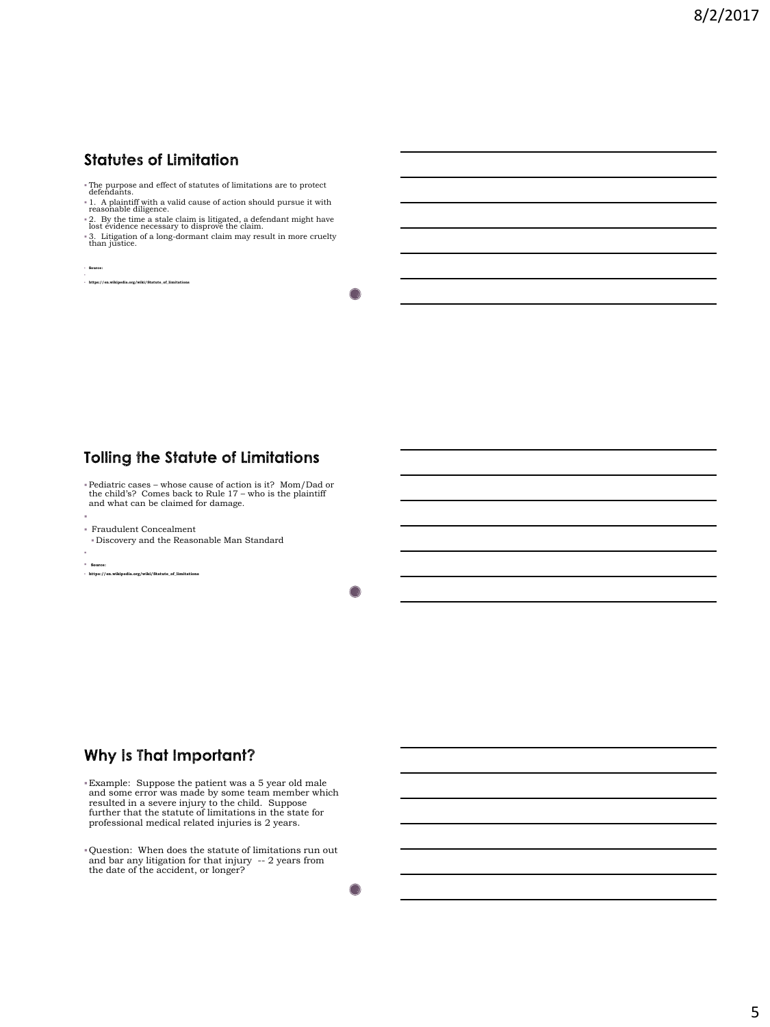# **Statutes of Limitation**

- The purpose and effect of statutes of limitations are to protect defendants.
- 1. A plaintiff with a valid cause of action should pursue it with reasonable diligence.
- 2. By the time a stale claim is litigated, a defendant might have lost evidence necessary to disprove the claim.
- 3. Litigation of a long-dormant claim may result in more cruelty than justice.

**Source:**

**https://en.wikipedia.org/wiki/Statute\_of\_limitations**

### **Tolling the Statute of Limitations**

- Pediatric cases whose cause of action is it? Mom/Dad or the child's? Comes back to Rule 17 who is the plaintiff and what can be claimed for damage.
- E Fraudulent Concealment
- Discovery and the Reasonable Man Standard
- ı
- **Source:**
- **https://en.wikipedia.org/wiki/Statute\_of\_limitations**

◠

#### Why Is That Important?

Example: Suppose the patient was a 5 year old male and some error was made by some team member which resulted in a severe injury to the child. Suppose further that the statute of limitations in the state for professional medical related injuries is 2 years.

Question: When does the statute of limitations run out and bar any litigation for that injury -- 2 years from the date of the accident, or longer?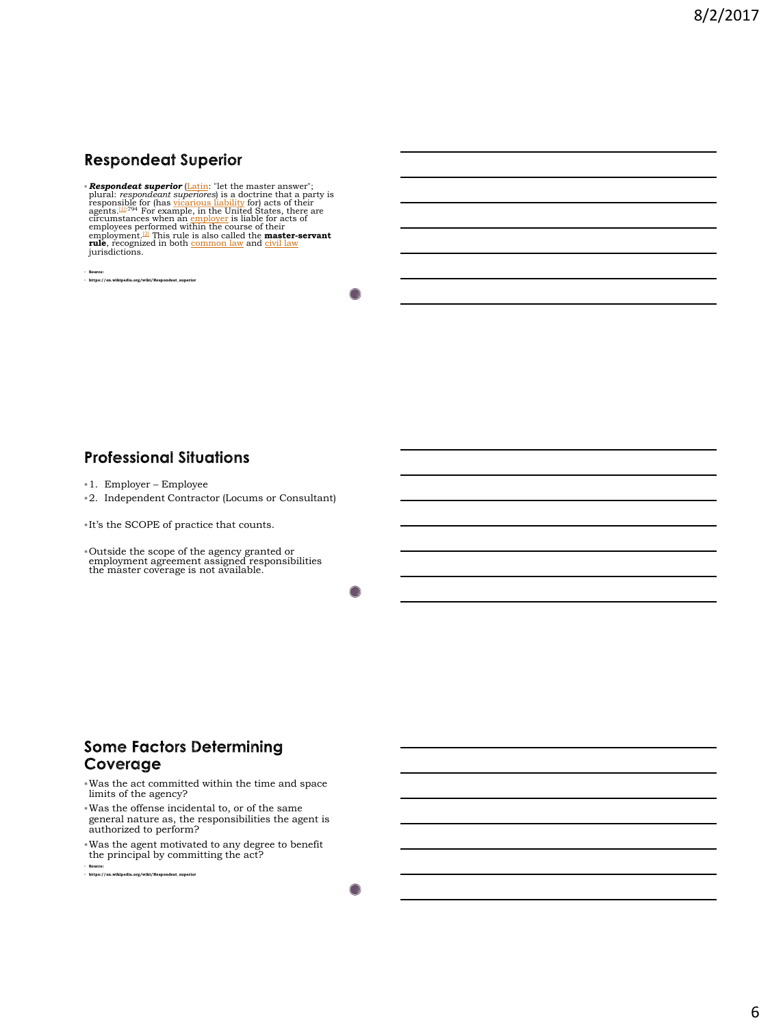# **Respondeat Superior**

**- Respondent superior [\(Latin](https://en.wikipedia.org/wiki/Latin):** "let the master answer";<br>plural: respondent superiores) is a doctrine that a party is<br>responsible for (has [vicarious liability](https://en.wikipedia.org/wiki/Vicarious_liability) for) acts of their<br>agents, likewell of the United States, ther jurisdictions.

**Source: https://en.wikipedia.org/wiki/Respondeat\_superior**

#### **Professional Situations**

- 1. Employer Employee
- 2. Independent Contractor (Locums or Consultant)

 $\blacksquare$  <br> It's the SCOPE of practice that counts.

Outside the scope of the agency granted or employment agreement assigned responsibilities the master coverage is not available.

#### **Some Factors Determining** Coverage

- Was the act committed within the time and space limits of the agency?
- Was the offense incidental to, or of the same general nature as, the responsibilities the agent is authorized to perform?
- Was the agent motivated to any degree to benefit the principal by committing the act?

**Source: https://en.wikipedia.org/wiki/Respondeat\_superior**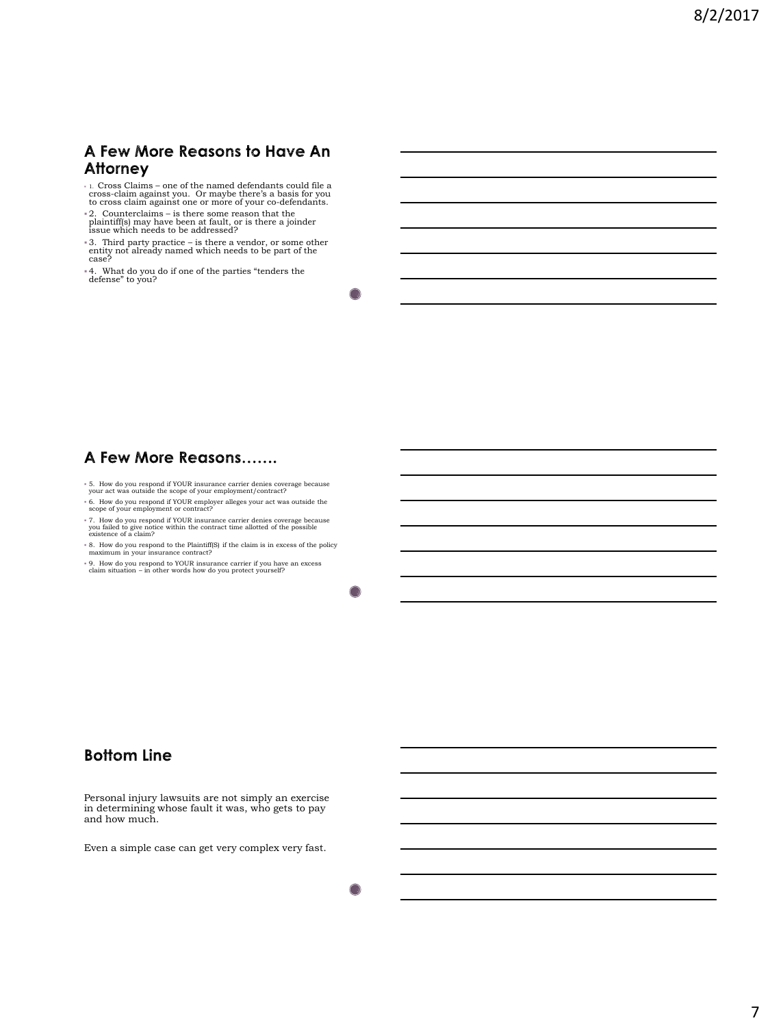#### A Few More Reasons to Have An **Attorney**

 1. Cross Claims – one of the named defendants could file a cross-claim against you. Or maybe there's a basis for you to cross claim against one or more of your co-defendants.

2. Counterclaims – is there some reason that the plaintiff(s) may have been at fault, or is there a joinder issue which needs to be addressed?

- 3. Third party practice is there a vendor, or some other entity not already named which needs to be part of the case?
- 4. What do you do if one of the parties "tenders the defense" to you?

# A Few More Reasons.......

- 5. How do you respond if YOUR insurance carrier denies coverage because your act was outside the scope of your employment/contract?
- 6. How do you respond if YOUR employer alleges your act was outside the scope of your employment or contract?
- 7. How do you respond if YOUR insurance carrier denies coverage because you failed to give notice within the contract time allotted of the possible existence of a claim?
- 8. How do you respond to the Plaintiff(S) if the claim is in excess of the policy maximum in your insurance contract?
- 9. How do you respond to YOUR insurance carrier if you have an excess claim situation in other words how do you protect yourself?

#### **Bottom Line**

Personal injury lawsuits are not simply an exercise in determining whose fault it was, who gets to pay and how much.

Even a simple case can get very complex very fast.